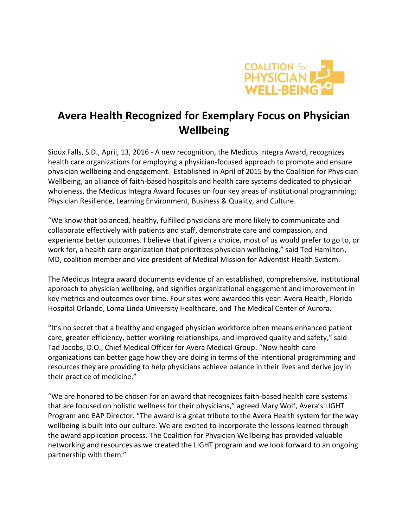

## **Avera Health Recognized for Exemplary Focus on Physician Wellbeing**

Sioux Falls, S.D., April, 13, 2016 - A new recognition, the Medicus Integra Award, recognizes health care organizations for employing a physician-focused approach to promote and ensure physician wellbeing and engagement. Established in April of 2015 by the Coalition for Physician Wellbeing, an alliance of faith-based hospitals and health care systems dedicated to physician wholeness, the Medicus Integra Award focuses on four key areas of institutional programming: Physician Resilience, Learning Environment, Business & Quality, and Culture.

"We know that balanced, healthy, fulfilled physicians are more likely to communicate and collaborate effectively with patients and staff, demonstrate care and compassion, and experience better outcomes. I believe that if given a choice, most of us would prefer to go to, or work for, a health care organization that prioritizes physician wellbeing," said Ted Hamilton, MD, coalition member and vice president of Medical Mission for Adventist Health System.

The Medicus Integra award documents evidence of an established, comprehensive, institutional approach to physician wellbeing, and signifies organizational engagement and improvement in key metrics and outcomes over time. Four sites were awarded this year: Avera Health, Florida Hospital Orlando, Loma Linda University Healthcare, and The Medical Center of Aurora.

"It's no secret that a healthy and engaged physician workforce often means enhanced patient care, greater efficiency, better working relationships, and improved quality and safety," said Tad Jacobs, D.O., Chief Medical Officer for Avera Medical Group. "Now health care organizations can better gage how they are doing in terms of the intentional programming and resources they are providing to help physicians achieve balance in their lives and derive joy in their practice of medicine."

"We are honored to be chosen for an award that recognizes faith-based health care systems that are focused on holistic wellness for their physicians," agreed Mary Wolf, Avera's LIGHT Program and EAP Director. "The award is a great tribute to the Avera Health system for the way wellbeing is built into our culture. We are excited to incorporate the lessons learned through the award application process. The Coalition for Physician Wellbeing has provided valuable networking and resources as we created the LIGHT program and we look forward to an ongoing partnership with them."